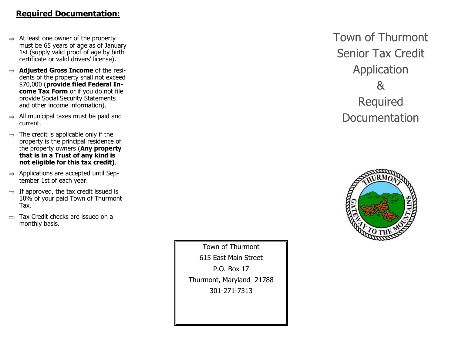## **Required Documentation:**

- $\Rightarrow$  At least one owner of the property must be 65 years of age as of January 1st (supply valid proof of age by birth certificate or valid drivers' license).
- **Adjusted Gross Income** of the residents of the property shall not exceed \$70,000 (**provide filed Federal Income Tax Form** or if you do not file provide Social Security Statements and other income information).
- $\Rightarrow$  All municipal taxes must be paid and current.
- $\Rightarrow$  The credit is applicable only if the property is the principal residence of the property owners (**Any property that is in a Trust of any kind is not eligible for this tax credit)**.
- $\Rightarrow$  Applications are accepted until September 1st of each year.
- $\Rightarrow$  If approved, the tax credit issued is 10% of your paid Town of Thurmont Tax.
- $\Rightarrow$  Tax Credit checks are issued on a monthly basis.

Town of Thurmont 615 East Main Street P.O. Box 17 Thurmont, Maryland 21788 301-271-7313

**Town of Thurmont Senior Tax Credit** Application  $\alpha$ Required **Documentation**